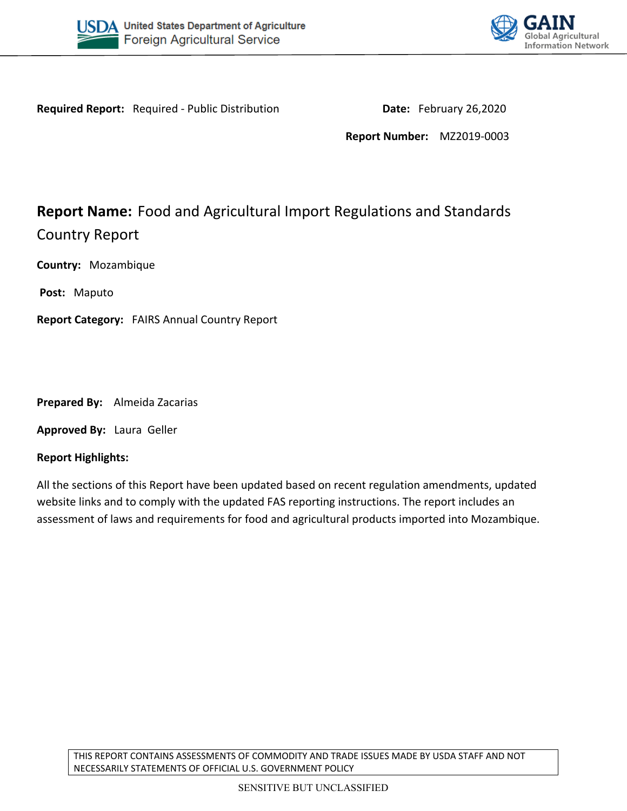



**Required Report:** Required - Public Distribution **Date:** February 26,2020

**Report Number:** MZ2019-0003

# **Report Name:** Food and Agricultural Import Regulations and Standards Country Report

**Country:** Mozambique

**Post:** Maputo

**Report Category:** FAIRS Annual Country Report

**Prepared By:** Almeida Zacarias

**Approved By:** Laura Geller

#### **Report Highlights:**

All the sections of this Report have been updated based on recent regulation amendments, updated website links and to comply with the updated FAS reporting instructions. The report includes an assessment of laws and requirements for food and agricultural products imported into Mozambique.

THIS REPORT CONTAINS ASSESSMENTS OF COMMODITY AND TRADE ISSUES MADE BY USDA STAFF AND NOT NECESSARILY STATEMENTS OF OFFICIAL U.S. GOVERNMENT POLICY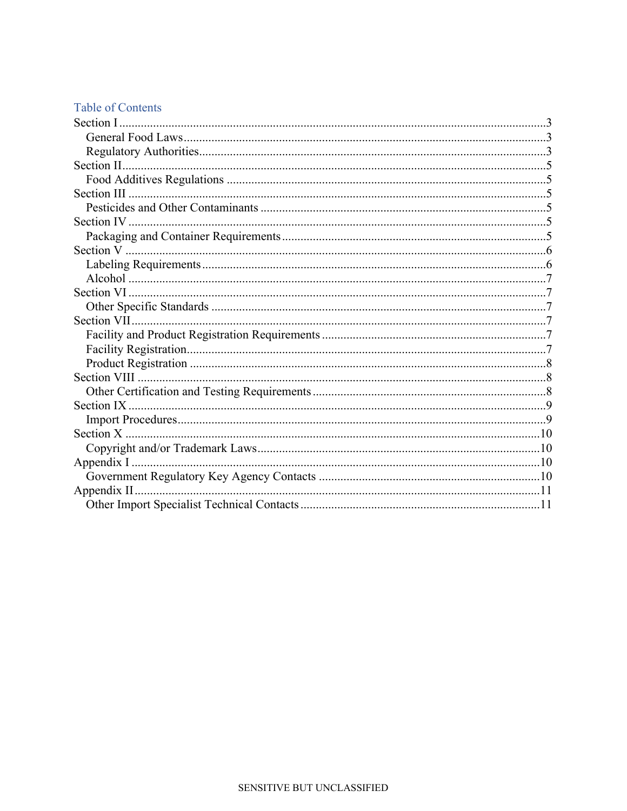# **Table of Contents**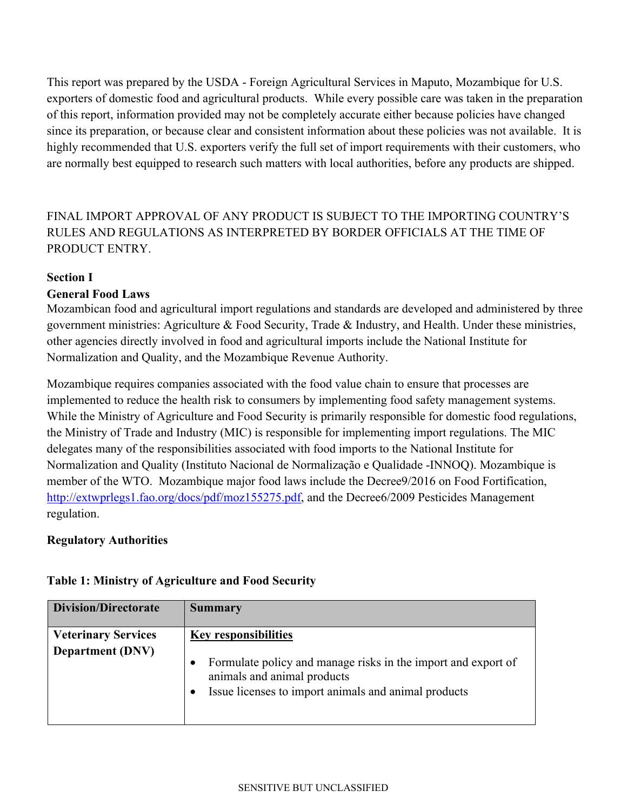This report was prepared by the USDA - Foreign Agricultural Services in Maputo, Mozambique for U.S. exporters of domestic food and agricultural products. While every possible care was taken in the preparation of this report, information provided may not be completely accurate either because policies have changed since its preparation, or because clear and consistent information about these policies was not available. It is highly recommended that U.S. exporters verify the full set of import requirements with their customers, who are normally best equipped to research such matters with local authorities, before any products are shipped.

FINAL IMPORT APPROVAL OF ANY PRODUCT IS SUBJECT TO THE IMPORTING COUNTRY'S RULES AND REGULATIONS AS INTERPRETED BY BORDER OFFICIALS AT THE TIME OF PRODUCT ENTRY.

#### <span id="page-2-0"></span>**Section I**

#### <span id="page-2-1"></span>**General Food Laws**

Mozambican food and agricultural import regulations and standards are developed and administered by three government ministries: Agriculture & Food Security, Trade & Industry, and Health. Under these ministries, other agencies directly involved in food and agricultural imports include the National Institute for Normalization and Quality, and the Mozambique Revenue Authority.

Mozambique requires companies associated with the food value chain to ensure that processes are implemented to reduce the health risk to consumers by implementing food safety management systems. While the Ministry of Agriculture and Food Security is primarily responsible for domestic food regulations, the Ministry of Trade and Industry (MIC) is responsible for implementing import regulations. The MIC delegates many of the responsibilities associated with food imports to the National Institute for Normalization and Quality (Instituto Nacional de Normalização e Qualidade -INNOQ). Mozambique is member of the WTO. Mozambique major food laws include the Decree9/2016 on Food Fortification, <http://extwprlegs1.fao.org/docs/pdf/moz155275.pdf>, and the Decree6/2009 Pesticides Management regulation.

#### <span id="page-2-2"></span>**Regulatory Authorities**

# **Table 1: Ministry of Agriculture and Food Security**

| <b>Division/Directorate</b>                           | <b>Summary</b>                                                                                                                                                                           |
|-------------------------------------------------------|------------------------------------------------------------------------------------------------------------------------------------------------------------------------------------------|
| <b>Veterinary Services</b><br><b>Department (DNV)</b> | <b>Key responsibilities</b><br>Formulate policy and manage risks in the import and export of<br>٠<br>animals and animal products<br>Issue licenses to import animals and animal products |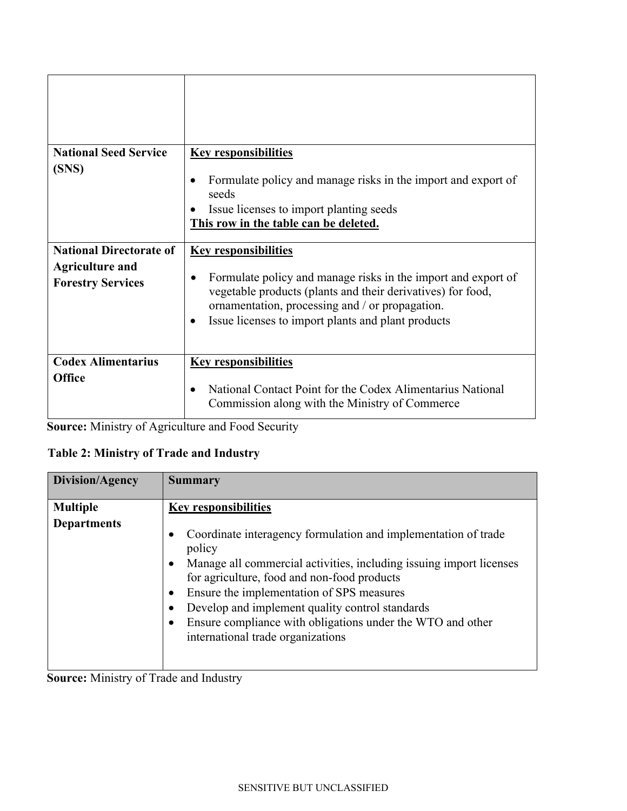| <b>National Seed Service</b><br>(SNS)                                                | <b>Key responsibilities</b><br>Formulate policy and manage risks in the import and export of<br>$\bullet$<br>seeds<br>Issue licenses to import planting seeds<br>This row in the table can be deleted.                                                                                         |
|--------------------------------------------------------------------------------------|------------------------------------------------------------------------------------------------------------------------------------------------------------------------------------------------------------------------------------------------------------------------------------------------|
| <b>National Directorate of</b><br><b>Agriculture and</b><br><b>Forestry Services</b> | <b>Key responsibilities</b><br>Formulate policy and manage risks in the import and export of<br>$\bullet$<br>vegetable products (plants and their derivatives) for food,<br>ornamentation, processing and / or propagation.<br>Issue licenses to import plants and plant products<br>$\bullet$ |
| <b>Codex Alimentarius</b><br><b>Office</b>                                           | <b>Key responsibilities</b><br>National Contact Point for the Codex Alimentarius National<br>$\bullet$<br>Commission along with the Ministry of Commerce                                                                                                                                       |

**Source:** Ministry of Agriculture and Food Security

# **Table 2: Ministry of Trade and Industry**

| Division/Agency                       | <b>Summary</b>                                                                                                                                                                                                                                                                                                                                                                                                                   |
|---------------------------------------|----------------------------------------------------------------------------------------------------------------------------------------------------------------------------------------------------------------------------------------------------------------------------------------------------------------------------------------------------------------------------------------------------------------------------------|
| <b>Multiple</b><br><b>Departments</b> | <b>Key responsibilities</b><br>Coordinate interagency formulation and implementation of trade<br>policy<br>Manage all commercial activities, including issuing import licenses<br>for agriculture, food and non-food products<br>Ensure the implementation of SPS measures<br>Develop and implement quality control standards<br>Ensure compliance with obligations under the WTO and other<br>international trade organizations |

**Source:** Ministry of Trade and Industry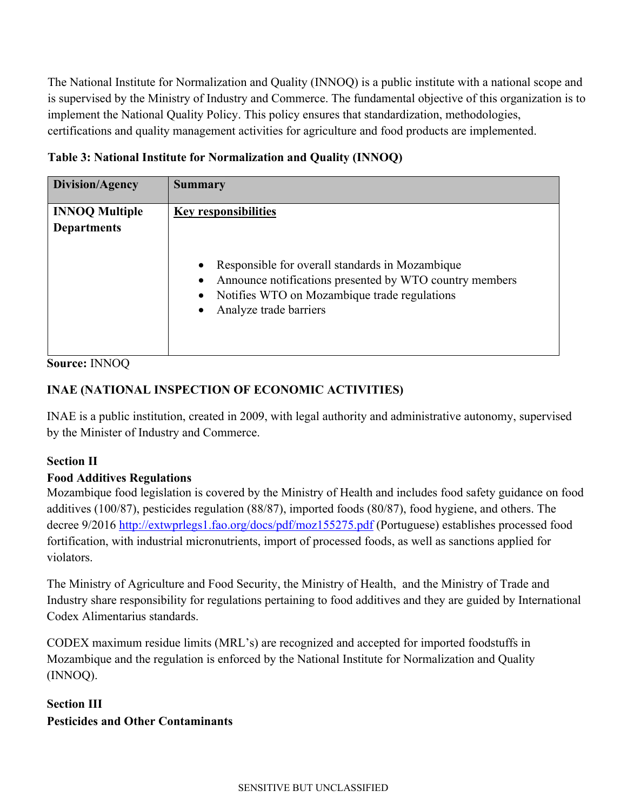The National Institute for Normalization and Quality (INNOQ) is a public institute with a national scope and is supervised by the Ministry of Industry and Commerce. The fundamental objective of this organization is to implement the National Quality Policy. This policy ensures that standardization, methodologies, certifications and quality management activities for agriculture and food products are implemented.

| Table 3: National Institute for Normalization and Quality (INNOQ) |  |  |
|-------------------------------------------------------------------|--|--|
|                                                                   |  |  |

| <b>INNOQ Multiple</b><br><b>Departments</b> | <b>Key responsibilities</b><br>Responsible for overall standards in Mozambique<br>$\bullet$<br>Announce notifications presented by WTO country members<br>Notifies WTO on Mozambique trade regulations<br>$\bullet$<br>Analyze trade barriers<br>$\bullet$ |
|---------------------------------------------|------------------------------------------------------------------------------------------------------------------------------------------------------------------------------------------------------------------------------------------------------------|

**Source:** INNOQ

# **INAE (NATIONAL INSPECTION OF ECONOMIC ACTIVITIES)**

INAE is a public institution, created in 2009, with legal authority and administrative autonomy, supervised by the Minister of Industry and Commerce.

# <span id="page-4-0"></span>**Section II**

# <span id="page-4-1"></span>**Food Additives Regulations**

Mozambique food legislation is covered by the Ministry of Health and includes food safety guidance on food additives (100/87), pesticides regulation (88/87), imported foods (80/87), food hygiene, and others. The decree 9/2016<http://extwprlegs1.fao.org/docs/pdf/moz155275.pdf>(Portuguese) establishes processed food fortification, with industrial micronutrients, import of processed foods, as well as sanctions applied for violators.

The Ministry of Agriculture and Food Security, the Ministry of Health, and the Ministry of Trade and Industry share responsibility for regulations pertaining to food additives and they are guided by International Codex Alimentarius standards.

CODEX maximum residue limits (MRL's) are recognized and accepted for imported foodstuffs in Mozambique and the regulation is enforced by the National Institute for Normalization and Quality (INNOQ).

# <span id="page-4-3"></span><span id="page-4-2"></span>**Section III Pesticides and Other Contaminants**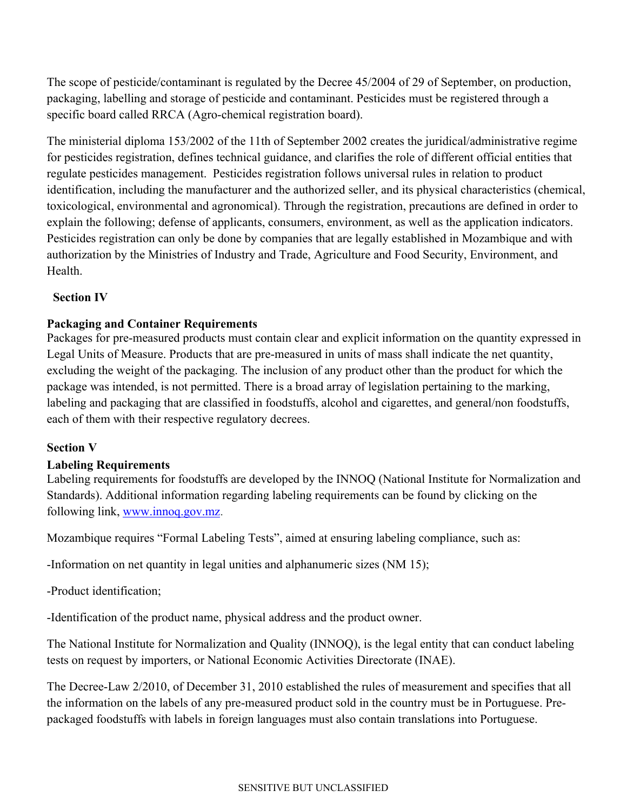The scope of pesticide/contaminant is regulated by the Decree 45/2004 of 29 of September, on production, packaging, labelling and storage of pesticide and contaminant. Pesticides must be registered through a specific board called RRCA (Agro-chemical registration board).

The ministerial diploma 153/2002 of the 11th of September 2002 creates the juridical/administrative regime for pesticides registration, defines technical guidance, and clarifies the role of different official entities that regulate pesticides management. Pesticides registration follows universal rules in relation to product identification, including the manufacturer and the authorized seller, and its physical characteristics (chemical, toxicological, environmental and agronomical). Through the registration, precautions are defined in order to explain the following; defense of applicants, consumers, environment, as well as the application indicators. Pesticides registration can only be done by companies that are legally established in Mozambique and with authorization by the Ministries of Industry and Trade, Agriculture and Food Security, Environment, and Health.

### <span id="page-5-0"></span>**Section IV**

### <span id="page-5-1"></span>**Packaging and Container Requirements**

Packages for pre-measured products must contain clear and explicit information on the quantity expressed in Legal Units of Measure. Products that are pre-measured in units of mass shall indicate the net quantity, excluding the weight of the packaging. The inclusion of any product other than the product for which the package was intended, is not permitted. There is a broad array of legislation pertaining to the marking, labeling and packaging that are classified in foodstuffs, alcohol and cigarettes, and general/non foodstuffs, each of them with their respective regulatory decrees.

### <span id="page-5-2"></span>**Section V**

### <span id="page-5-3"></span>**Labeling Requirements**

Labeling requirements for foodstuffs are developed by the INNOQ (National Institute for Normalization and Standards). Additional information regarding labeling requirements can be found by clicking on the following link, [www.innoq.gov.mz](http://www.innoq.gov.mz/).

Mozambique requires "Formal Labeling Tests", aimed at ensuring labeling compliance, such as:

-Information on net quantity in legal unities and alphanumeric sizes (NM 15);

-Product identification;

-Identification of the product name, physical address and the product owner.

The National Institute for Normalization and Quality (INNOQ), is the legal entity that can conduct labeling tests on request by importers, or National Economic Activities Directorate (INAE).

The Decree-Law 2/2010, of December 31, 2010 established the rules of measurement and specifies that all the information on the labels of any pre-measured product sold in the country must be in Portuguese. Prepackaged foodstuffs with labels in foreign languages must also contain translations into Portuguese.

#### SENSITIVE BUT UNCLASSIFIED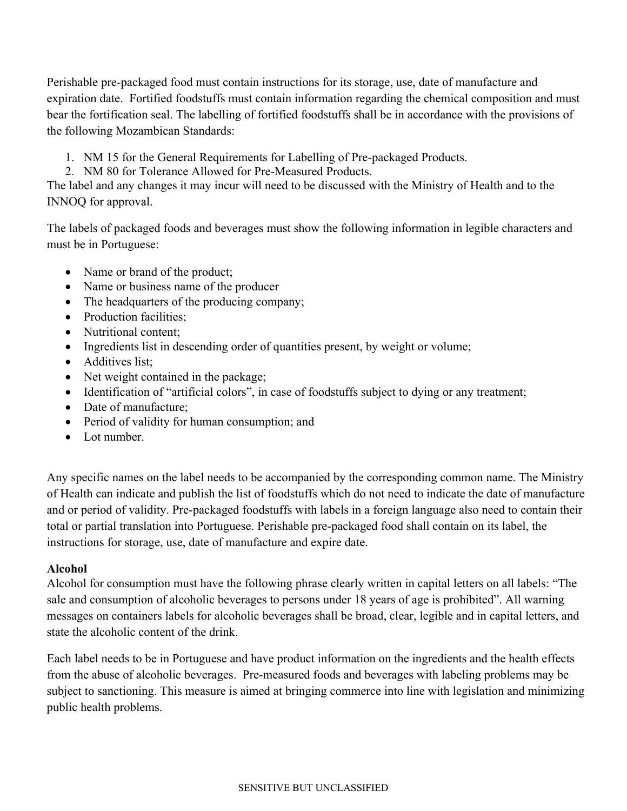Perishable pre-packaged food must contain instructions for its storage, use, date of manufacture and expiration date. Fortified foodstuffs must contain information regarding the chemical composition and must bear the fortification seal. The labelling of fortified foodstuffs shall be in accordance with the provisions of the following Mozambican Standards:

- 1. NM 15 for the General Requirements for Labelling of Pre-packaged Products.
- 2. NM 80 for Tolerance Allowed for Pre-Measured Products.

The label and any changes it may incur will need to be discussed with the Ministry of Health and to the INNOQ for approval.

The labels of packaged foods and beverages must show the following information in legible characters and must be in Portuguese:

- Name or brand of the product;
- Name or business name of the producer
- The headquarters of the producing company;
- Production facilities:
- Nutritional content:
- Ingredients list in descending order of quantities present, by weight or volume;
- Additives list:
- Net weight contained in the package;
- Identification of "artificial colors", in case of foodstuffs subject to dying or any treatment;
- Date of manufacture:
- Period of validity for human consumption; and
- Lot number.

Any specific names on the label needs to be accompanied by the corresponding common name. The Ministry of Health can indicate and publish the list of foodstuffs which do not need to indicate the date of manufacture and or period of validity. Pre-packaged foodstuffs with labels in a foreign language also need to contain their total or partial translation into Portuguese. Perishable pre-packaged food shall contain on its label, the instructions for storage, use, date of manufacture and expire date.

### <span id="page-6-0"></span>**Alcohol**

Alcohol for consumption must have the following phrase clearly written in capital letters on all labels: "The sale and consumption of alcoholic beverages to persons under 18 years of age is prohibited". All warning messages on containers labels for alcoholic beverages shall be broad, clear, legible and in capital letters, and state the alcoholic content of the drink.

Each label needs to be in Portuguese and have product information on the ingredients and the health effects from the abuse of alcoholic beverages. Pre-measured foods and beverages with labeling problems may be subject to sanctioning. This measure is aimed at bringing commerce into line with legislation and minimizing public health problems.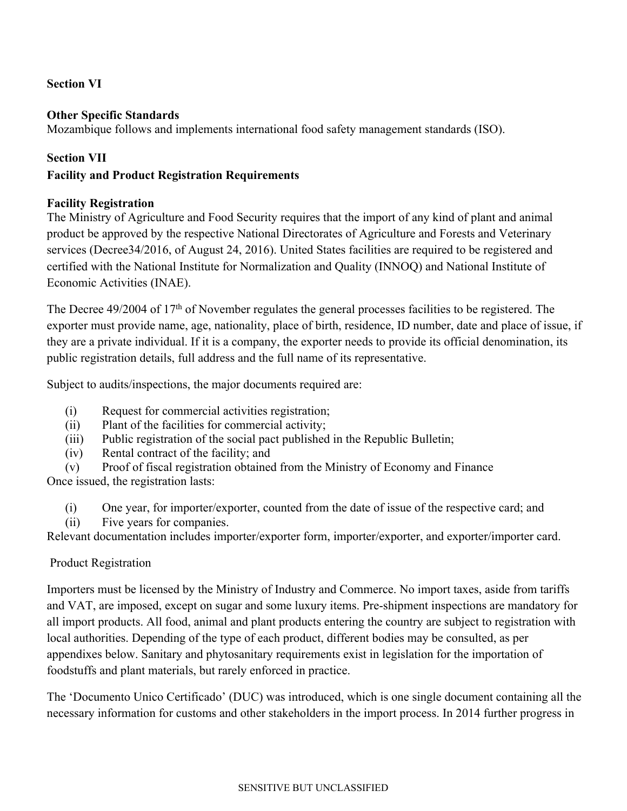### <span id="page-7-0"></span>**Section VI**

### <span id="page-7-1"></span>**Other Specific Standards**

Mozambique follows and implements international food safety management standards (ISO).

### <span id="page-7-2"></span>**Section VII**

### <span id="page-7-4"></span><span id="page-7-3"></span>**Facility and Product Registration Requirements**

### **Facility Registration**

The Ministry of Agriculture and Food Security requires that the import of any kind of plant and animal product be approved by the respective National Directorates of Agriculture and Forests and Veterinary services (Decree34/2016, of August 24, 2016). United States facilities are required to be registered and certified with the National Institute for Normalization and Quality (INNOQ) and National Institute of Economic Activities (INAE).

The Decree 49/2004 of 17<sup>th</sup> of November regulates the general processes facilities to be registered. The exporter must provide name, age, nationality, place of birth, residence, ID number, date and place of issue, if they are a private individual. If it is a company, the exporter needs to provide its official denomination, its public registration details, full address and the full name of its representative.

Subject to audits/inspections, the major documents required are:

- (i) Request for commercial activities registration;
- (ii) Plant of the facilities for commercial activity;
- (iii) Public registration of the social pact published in the Republic Bulletin;
- (iv) Rental contract of the facility; and
- (v) Proof of fiscal registration obtained from the Ministry of Economy and Finance

Once issued, the registration lasts:

- (i) One year, for importer/exporter, counted from the date of issue of the respective card; and
- (ii) Five years for companies.

Relevant documentation includes importer/exporter form, importer/exporter, and exporter/importer card.

### <span id="page-7-5"></span>Product Registration

Importers must be licensed by the Ministry of Industry and Commerce. No import taxes, aside from tariffs and VAT, are imposed, except on sugar and some luxury items. Pre-shipment inspections are mandatory for all import products. All food, animal and plant products entering the country are subject to registration with local authorities. Depending of the type of each product, different bodies may be consulted, as per appendixes below. Sanitary and phytosanitary requirements exist in legislation for the importation of foodstuffs and plant materials, but rarely enforced in practice.

The 'Documento Unico Certificado' (DUC) was introduced, which is one single document containing all the necessary information for customs and other stakeholders in the import process. In 2014 further progress in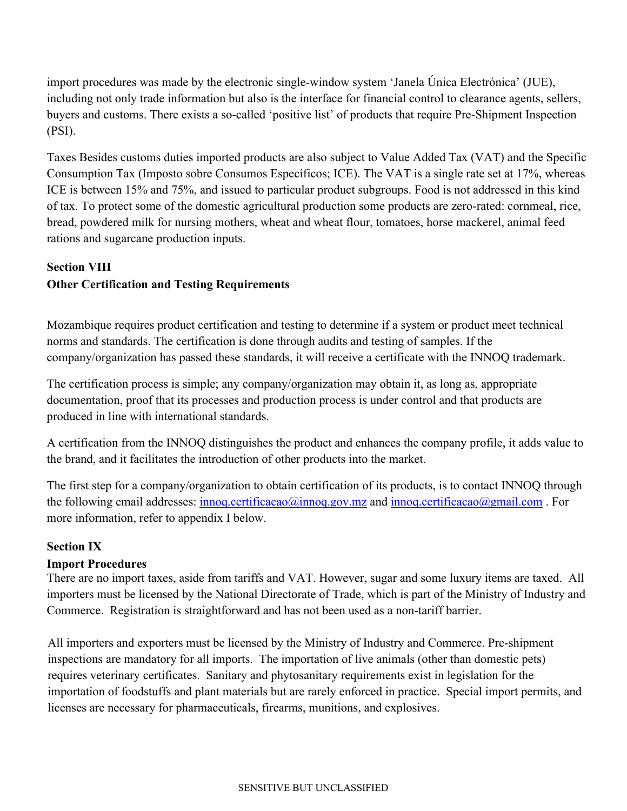import procedures was made by the electronic single-window system 'Janela Única Electrónica' (JUE), including not only trade information but also is the interface for financial control to clearance agents, sellers, buyers and customs. There exists a so-called 'positive list' of products that require Pre-Shipment Inspection (PSI).

Taxes Besides customs duties imported products are also subject to Value Added Tax (VAT) and the Specific Consumption Tax (Imposto sobre Consumos Específicos; ICE). The VAT is a single rate set at 17%, whereas ICE is between 15% and 75%, and issued to particular product subgroups. Food is not addressed in this kind of tax. To protect some of the domestic agricultural production some products are zero-rated: cornmeal, rice, bread, powdered milk for nursing mothers, wheat and wheat flour, tomatoes, horse mackerel, animal feed rations and sugarcane production inputs.

# <span id="page-8-1"></span><span id="page-8-0"></span>**Section VIII Other Certification and Testing Requirements**

Mozambique requires product certification and testing to determine if a system or product meet technical norms and standards. The certification is done through audits and testing of samples. If the company/organization has passed these standards, it will receive a certificate with the INNOQ trademark.

The certification process is simple; any company/organization may obtain it, as long as, appropriate documentation, proof that its processes and production process is under control and that products are produced in line with international standards.

A certification from the INNOQ distinguishes the product and enhances the company profile, it adds value to the brand, and it facilitates the introduction of other products into the market.

The first step for a company/organization to obtain certification of its products, is to contact INNOQ through the following email addresses: [innoq.certificacao@innoq.gov.mz](mailto:innoq.certificacao@innoq.gov.mz) and [innoq.certificacao@gmail.com](mailto:innoq.certificacao@gmail.com). For more information, refer to appendix I below.

# <span id="page-8-2"></span>**Section IX**

# <span id="page-8-3"></span>**Import Procedures**

There are no import taxes, aside from tariffs and VAT. However, sugar and some luxury items are taxed. All importers must be licensed by the National Directorate of Trade, which is part of the Ministry of Industry and Commerce. Registration is straightforward and has not been used as a non-tariff barrier.

All importers and exporters must be licensed by the Ministry of Industry and Commerce. Pre-shipment inspections are mandatory for all imports. The importation of live animals (other than domestic pets) requires veterinary certificates. Sanitary and phytosanitary requirements exist in legislation for the importation of foodstuffs and plant materials but are rarely enforced in practice. Special import permits, and licenses are necessary for pharmaceuticals, firearms, munitions, and explosives.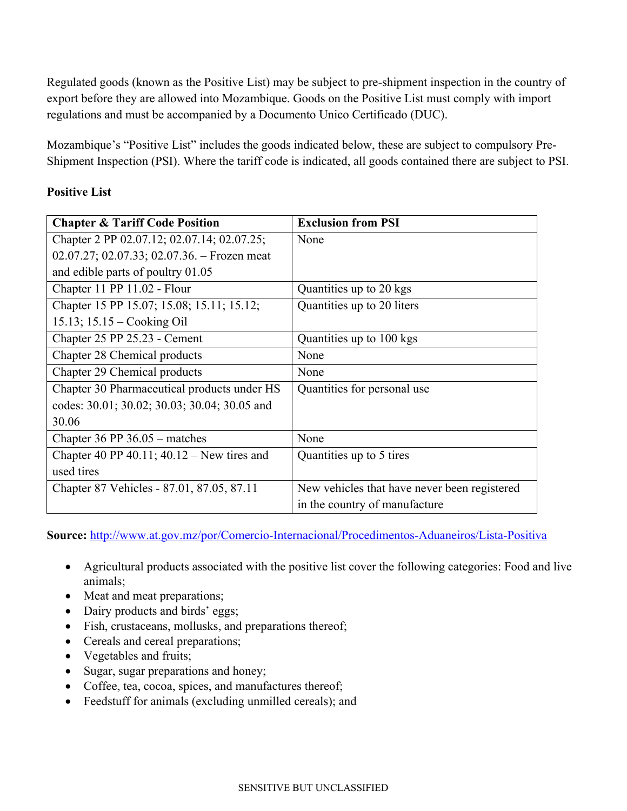Regulated goods (known as the Positive List) may be subject to pre-shipment inspection in the country of export before they are allowed into Mozambique. Goods on the Positive List must comply with import regulations and must be accompanied by a Documento Unico Certificado (DUC).

Mozambique's "Positive List" includes the goods indicated below, these are subject to compulsory Pre-Shipment Inspection (PSI). Where the tariff code is indicated, all goods contained there are subject to PSI.

### **Positive List**

| <b>Chapter &amp; Tariff Code Position</b>    | <b>Exclusion from PSI</b>                    |
|----------------------------------------------|----------------------------------------------|
| Chapter 2 PP 02.07.12; 02.07.14; 02.07.25;   | None                                         |
| 02.07.27; 02.07.33; 02.07.36. – Frozen meat  |                                              |
| and edible parts of poultry 01.05            |                                              |
| Chapter 11 PP 11.02 - Flour                  | Quantities up to 20 kgs                      |
| Chapter 15 PP 15.07; 15.08; 15.11; 15.12;    | Quantities up to 20 liters                   |
| 15.13; $15.15 - \text{Cooking Oil}$          |                                              |
| Chapter 25 PP 25.23 - Cement                 | Quantities up to 100 kgs                     |
| Chapter 28 Chemical products                 | None                                         |
| Chapter 29 Chemical products                 | None                                         |
| Chapter 30 Pharmaceutical products under HS  | Quantities for personal use                  |
| codes: 30.01; 30.02; 30.03; 30.04; 30.05 and |                                              |
| 30.06                                        |                                              |
| Chapter 36 PP $36.05$ – matches              | None                                         |
| Chapter 40 PP 40.11; $40.12 -$ New tires and | Quantities up to 5 tires                     |
| used tires                                   |                                              |
| Chapter 87 Vehicles - 87.01, 87.05, 87.11    | New vehicles that have never been registered |
|                                              | in the country of manufacture                |

**Source:** <http://www.at.gov.mz/por/Comercio-Internacional/Procedimentos-Aduaneiros/Lista-Positiva>

- Agricultural products associated with the positive list cover the following categories: Food and live animals;
- Meat and meat preparations;
- Dairy products and birds' eggs;
- Fish, crustaceans, mollusks, and preparations thereof;
- Cereals and cereal preparations;
- Vegetables and fruits;
- Sugar, sugar preparations and honey;
- Coffee, tea, cocoa, spices, and manufactures thereof;
- Feedstuff for animals (excluding unmilled cereals); and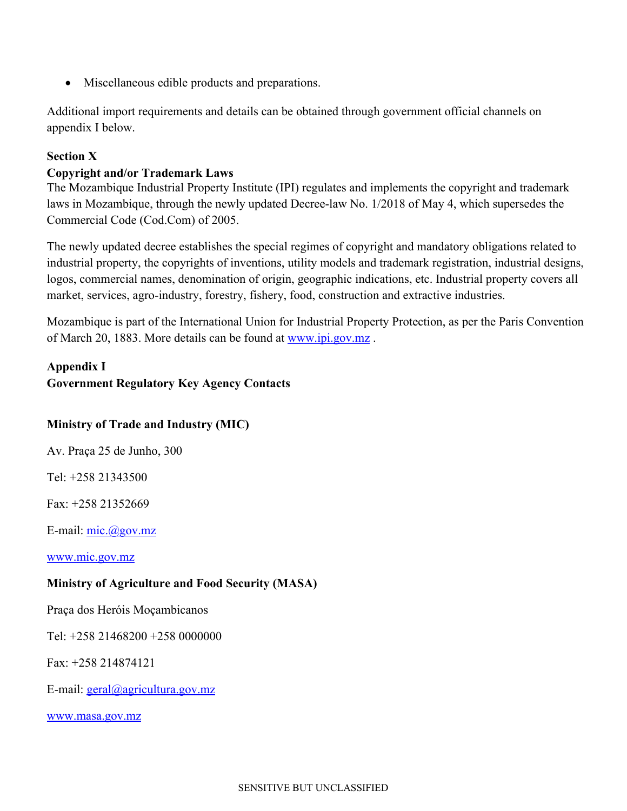Miscellaneous edible products and preparations.

Additional import requirements and details can be obtained through government official channels on appendix I below.

### <span id="page-10-0"></span>**Section X**

### <span id="page-10-1"></span>**Copyright and/or Trademark Laws**

The Mozambique Industrial Property Institute (IPI) regulates and implements the copyright and trademark laws in Mozambique, through the newly updated Decree-law No. 1/2018 of May 4, which supersedes the Commercial Code (Cod.Com) of 2005.

The newly updated decree establishes the special regimes of copyright and mandatory obligations related to industrial property, the copyrights of inventions, utility models and trademark registration, industrial designs, logos, commercial names, denomination of origin, geographic indications, etc. Industrial property covers all market, services, agro-industry, forestry, fishery, food, construction and extractive industries.

Mozambique is part of the International Union for Industrial Property Protection, as per the Paris Convention of March 20, 1883. More details can be found at [www.ipi.gov.mz](http://www.ipi.gov.mz/) .

# <span id="page-10-3"></span><span id="page-10-2"></span>**Appendix I Government Regulatory Key Agency Contacts**

# **Ministry of Trade and Industry (MIC)**

Av. Praça 25 de Junho, 300

Tel: +258 21343500

Fax: +258 21352669

E-mail: [mic.@gov.mz](mailto:mic.@gov.mz)

[www.mic.gov.mz](http://www.mic.gov.mz/)

### **Ministry of Agriculture and Food Security (MASA)**

Praça dos Heróis Moçambicanos

Tel: +258 21468200 +258 0000000

Fax: +258 214874121

E-mail:  $\text{geral}(a)$ agricultura.gov.mz

[www.masa.gov.mz](http://www.masa.gov.mz/)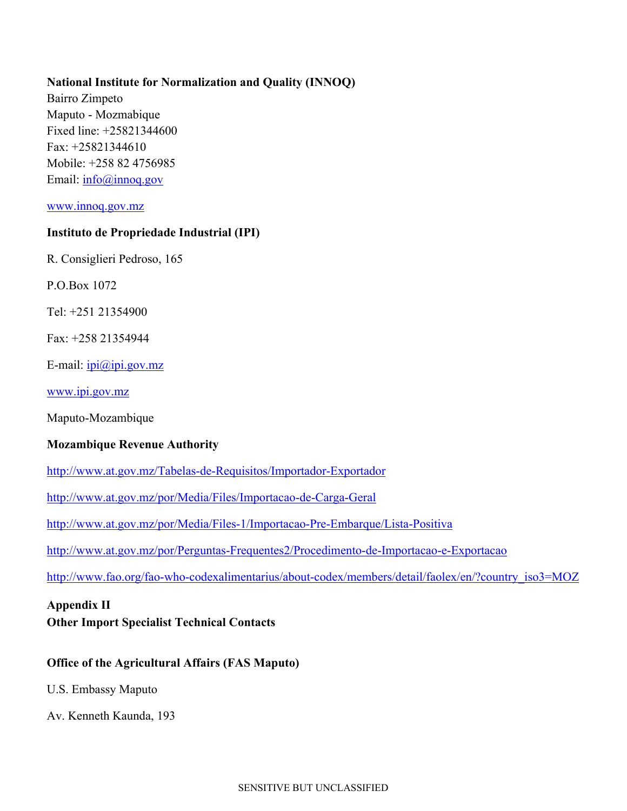### **National Institute for Normalization and Quality (INNOQ)**

Bairro Zimpeto Maputo - Mozmabique Fixed line: +25821344600 Fax: +25821344610 Mobile: +258 82 4756985 Email: [info@innoq.gov](mailto:info@innoq.gov)

#### [www.innoq.gov.mz](http://www.innoq.gov.mz/)

### **Instituto de Propriedade Industrial (IPI)**

R. Consiglieri Pedroso, 165

P.O.Box 1072

Tel: +251 21354900

Fax: +258 21354944

E-mail:  $ipi@ipi.gov.mz$ 

[www.ipi.gov.mz](http://www.ipi.gov.mz/)

Maputo-Mozambique

### **Mozambique Revenue Authority**

<http://www.at.gov.mz/Tabelas-de-Requisitos/Importador-Exportador>

<http://www.at.gov.mz/por/Media/Files/Importacao-de-Carga-Geral>

<http://www.at.gov.mz/por/Media/Files-1/Importacao-Pre-Embarque/Lista-Positiva>

<http://www.at.gov.mz/por/Perguntas-Frequentes2/Procedimento-de-Importacao-e-Exportacao>

[http://www.fao.org/fao-who-codexalimentarius/about-codex/members/detail/faolex/en/?country\\_iso3=MOZ](http://www.fao.org/fao-who-codexalimentarius/about-codex/members/detail/faolex/en/?country_iso3=MOZ)

#### <span id="page-11-0"></span>**Appendix II**

<span id="page-11-1"></span>**Other Import Specialist Technical Contacts**

### **Office of the Agricultural Affairs (FAS Maputo)**

U.S. Embassy Maputo

Av. Kenneth Kaunda, 193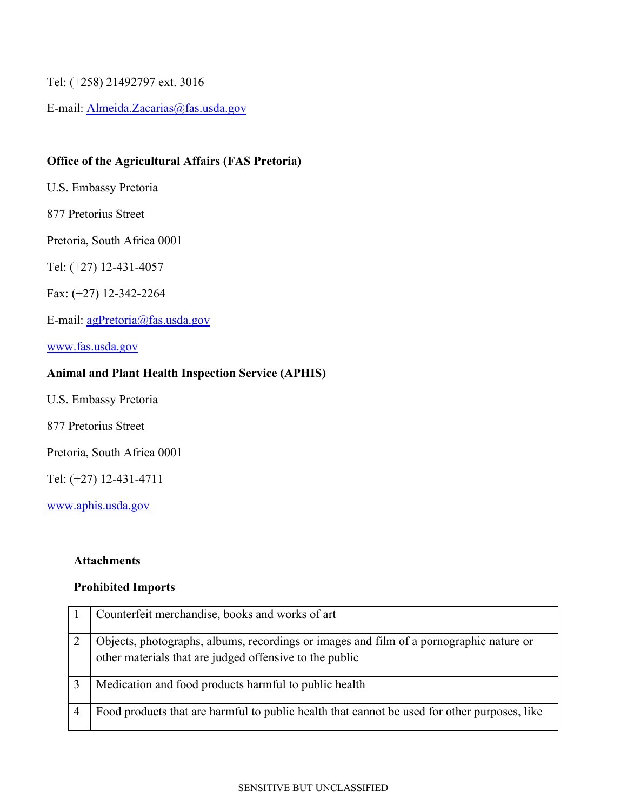Tel: (+258) 21492797 ext. 3016

E-mail: [Almeida.Zacarias@fas.usda.gov](mailto:Almeida.Zacarias@fas.usda.gov)

### **Office of the Agricultural Affairs (FAS Pretoria)**

U.S. Embassy Pretoria

877 Pretorius Street

Pretoria, South Africa 0001

Tel: (+27) 12-431-4057

Fax: (+27) 12-342-2264

E-mail: [agPretoria@fas.usda.gov](mailto:agPretoria@fas.usda.gov)

[www.fas.usda.gov](http://www.fas.usda.gov/)

### **Animal and Plant Health Inspection Service (APHIS)**

U.S. Embassy Pretoria

877 Pretorius Street

Pretoria, South Africa 0001

Tel: (+27) 12-431-4711

[www.aphis.usda.gov](http://www.aphis.usda.gov/)

#### **Attachments**

#### **Prohibited Imports**

| Counterfeit merchandise, books and works of art                                                                                                    |
|----------------------------------------------------------------------------------------------------------------------------------------------------|
| Objects, photographs, albums, recordings or images and film of a pornographic nature or<br>other materials that are judged offensive to the public |
| Medication and food products harmful to public health                                                                                              |
| Food products that are harmful to public health that cannot be used for other purposes, like                                                       |